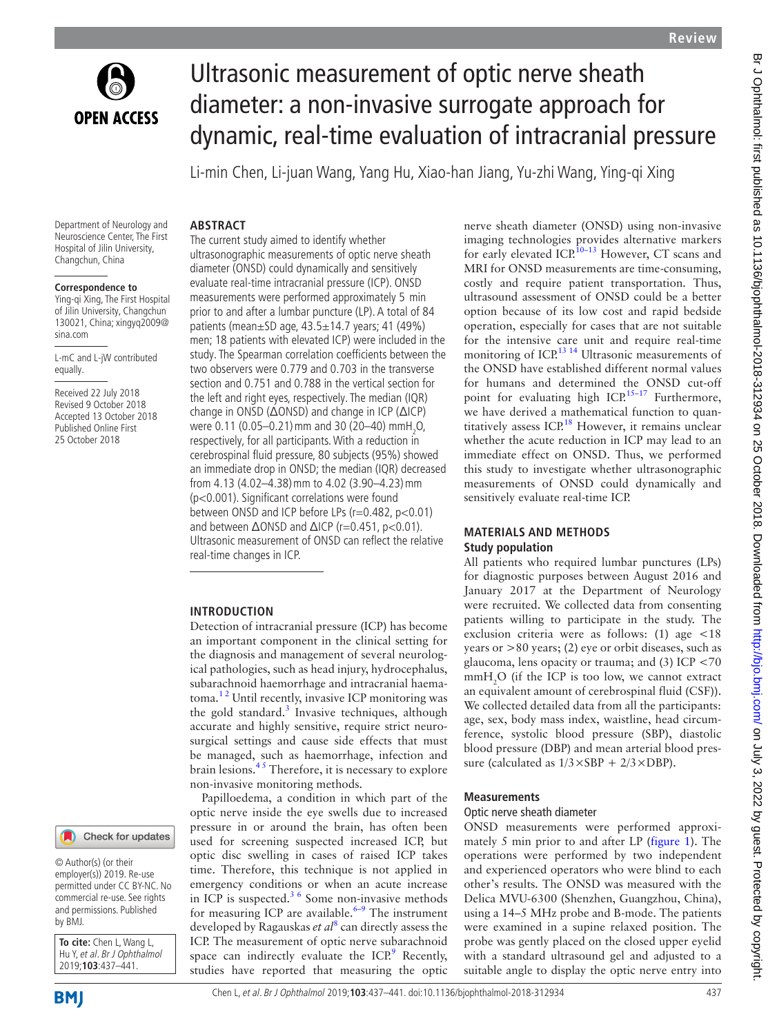

# Ultrasonic measurement of optic nerve sheath diameter: a non-invasive surrogate approach for dynamic, real-time evaluation of intracranial pressure

Li-min Chen, Li-juan Wang, Yang Hu, Xiao-han Jiang, Yu-zhi Wang, Ying-qi Xing

#### Department of Neurology and Neuroscience Center, The First Hospital of Jilin University, Changchun, China

## **Correspondence to**

Ying-qi Xing, The First Hospital of Jilin University, Changchun 130021, China; xingyq2009@ sina.com

L-mC and L-jW contributed equally.

Received 22 July 2018 Revised 9 October 2018 Accepted 13 October 2018 Published Online First 25 October 2018



© Author(s) (or their employer(s)) 2019. Re-use permitted under CC BY-NC. No commercial re-use. See rights and permissions. Published by BMJ.

**To cite:** Chen L, Wang L, Hu Y, et al. Br J Ophthalmol 2019;**103**:437–441.

The current study aimed to identify whether ultrasonographic measurements of optic nerve sheath diameter (ONSD) could dynamically and sensitively evaluate real-time intracranial pressure (ICP). ONSD measurements were performed approximately 5 min prior to and after a lumbar puncture (LP). A total of 84 patients (mean±SD age, 43.5±14.7 years; 41 (49%) men; 18 patients with elevated ICP) were included in the study. The Spearman correlation coefficients between the two observers were 0.779 and 0.703 in the transverse section and 0.751 and 0.788 in the vertical section for the left and right eyes, respectively. The median (IQR) change in ONSD (ΔONSD) and change in ICP (ΔICP) were 0.11 (0.05–0.21) mm and 30 (20–40) mmH<sub>2</sub>O, respectively, for all participants. With a reduction in cerebrospinal fluid pressure, 80 subjects (95%) showed an immediate drop in ONSD; the median (IQR) decreased from 4.13 (4.02–4.38)mm to 4.02 (3.90–4.23)mm (p<0.001). Significant correlations were found between ONSD and ICP before LPs (r=0.482, p<0.01) and between  $ΔONSD$  and  $ΔICP$  (r=0.451, p<0.01). Ultrasonic measurement of ONSD can reflect the relative real-time changes in ICP.

#### **Introduction**

**Abstract**

Detection of intracranial pressure (ICP) has become an important component in the clinical setting for the diagnosis and management of several neurological pathologies, such as head injury, hydrocephalus, subarachnoid haemorrhage and intracranial haematoma.<sup>12</sup> Until recently, invasive ICP monitoring was the gold standard.<sup>[3](#page-3-1)</sup> Invasive techniques, although accurate and highly sensitive, require strict neurosurgical settings and cause side effects that must be managed, such as haemorrhage, infection and brain lesions. $4<sup>5</sup>$  Therefore, it is necessary to explore non-invasive monitoring methods.

Papilloedema, a condition in which part of the optic nerve inside the eye swells due to increased pressure in or around the brain, has often been used for screening suspected increased ICP, but optic disc swelling in cases of raised ICP takes time. Therefore, this technique is not applied in emergency conditions or when an acute increase in ICP is suspected. $3/6$  Some non-invasive methods for measuring ICP are available. $6-9$  The instrument developed by Ragauskas *et al*[8](#page-3-4) can directly assess the ICP. The measurement of optic nerve subarachnoid space can indirectly evaluate the ICP.<sup>9</sup> Recently, studies have reported that measuring the optic

nerve sheath diameter (ONSD) using non-invasive imaging technologies provides alternative markers for early elevated  $ICP<sup>10-13</sup>$  However, CT scans and MRI for ONSD measurements are time-consuming, costly and require patient transportation. Thus, ultrasound assessment of ONSD could be a better option because of its low cost and rapid bedside operation, especially for cases that are not suitable for the intensive care unit and require real-time monitoring of ICP.<sup>13 14</sup> Ultrasonic measurements of the ONSD have established different normal values for humans and determined the ONSD cut-off point for evaluating high ICP.<sup>15–17</sup> Furthermore, we have derived a mathematical function to quan-titatively assess ICP.<sup>[18](#page-3-9)</sup> However, it remains unclear whether the acute reduction in ICP may lead to an immediate effect on ONSD. Thus, we performed this study to investigate whether ultrasonographic measurements of ONSD could dynamically and sensitively evaluate real-time ICP.

## **Materials and methods Study population**

All patients who required lumbar punctures (LPs) for diagnostic purposes between August 2016 and January 2017 at the Department of Neurology were recruited. We collected data from consenting patients willing to participate in the study. The exclusion criteria were as follows: (1) age <18 years or >80 years; (2) eye or orbit diseases, such as glaucoma, lens opacity or trauma; and (3) ICP <70  $mmH<sub>2</sub>O$  (if the ICP is too low, we cannot extract an equivalent amount of cerebrospinal fluid (CSF)). We collected detailed data from all the participants: age, sex, body mass index, waistline, head circumference, systolic blood pressure (SBP), diastolic blood pressure (DBP) and mean arterial blood pressure (calculated as  $1/3 \times SBP + 2/3 \times DBP$ ).

#### **Measurements**

#### Optic nerve sheath diameter

ONSD measurements were performed approximately 5 min prior to and after LP ([figure](#page-1-0) 1). The operations were performed by two independent and experienced operators who were blind to each other's results. The ONSD was measured with the Delica MVU-6300 (Shenzhen, Guangzhou, China), using a 14–5 MHz probe and B-mode. The patients were examined in a supine relaxed position. The probe was gently placed on the closed upper eyelid with a standard ultrasound gel and adjusted to a suitable angle to display the optic nerve entry into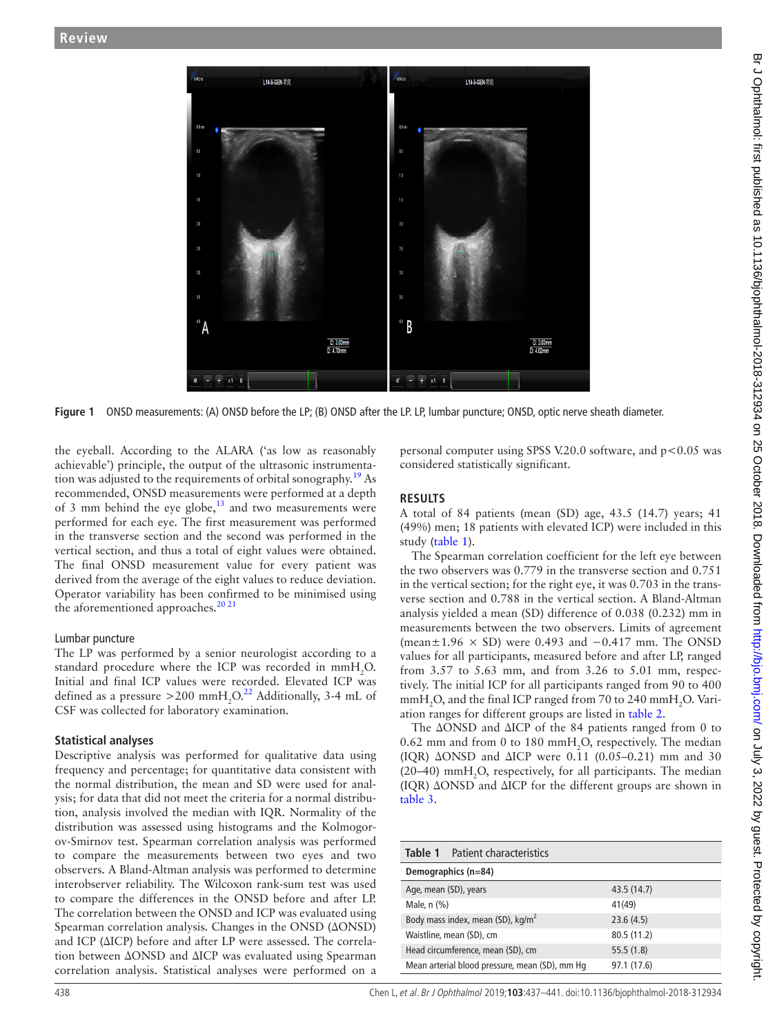

**Figure 1** ONSD measurements: (A) ONSD before the LP; (B) ONSD after the LP. LP, lumbar puncture; ONSD, optic nerve sheath diameter.

the eyeball. According to the ALARA ('as low as reasonably achievable') principle, the output of the ultrasonic instrumenta-tion was adjusted to the requirements of orbital sonography.<sup>[19](#page-3-10)</sup> As recommended, ONSD measurements were performed at a depth of 3 mm behind the eye globe, $13$  and two measurements were performed for each eye. The first measurement was performed in the transverse section and the second was performed in the vertical section, and thus a total of eight values were obtained. The final ONSD measurement value for every patient was derived from the average of the eight values to reduce deviation. Operator variability has been confirmed to be minimised using the aforementioned approaches.<sup>2021</sup>

## Lumbar puncture

The LP was performed by a senior neurologist according to a standard procedure where the ICP was recorded in  $mmH_{2}O$ . Initial and final ICP values were recorded. Elevated ICP was defined as a pressure  $>$  200 mmH<sub>2</sub>O.<sup>22</sup> Additionally, 3-4 mL of CSF was collected for laboratory examination.

## **Statistical analyses**

Descriptive analysis was performed for qualitative data using frequency and percentage; for quantitative data consistent with the normal distribution, the mean and SD were used for analysis; for data that did not meet the criteria for a normal distribution, analysis involved the median with IQR. Normality of the distribution was assessed using histograms and the Kolmogorov-Smirnov test. Spearman correlation analysis was performed to compare the measurements between two eyes and two observers. A Bland-Altman analysis was performed to determine interobserver reliability. The Wilcoxon rank-sum test was used to compare the differences in the ONSD before and after LP. The correlation between the ONSD and ICP was evaluated using Spearman correlation analysis. Changes in the ONSD (ΔONSD) and ICP (ΔICP) before and after LP were assessed. The correlation between ΔONSD and ΔICP was evaluated using Spearman correlation analysis. Statistical analyses were performed on a

<span id="page-1-0"></span>personal computer using SPSS V.20.0 software, and  $p < 0.05$  was considered statistically significant.

## **Results**

A total of 84 patients (mean (SD) age, 43.5 (14.7) years; 41 (49%) men; 18 patients with elevated ICP) were included in this study ([table](#page-1-1) 1).

The Spearman correlation coefficient for the left eye between the two observers was 0.779 in the transverse section and 0.751 in the vertical section; for the right eye, it was 0.703 in the transverse section and 0.788 in the vertical section. A Bland-Altman analysis yielded a mean (SD) difference of 0.038 (0.232) mm in measurements between the two observers. Limits of agreement (mean $\pm$ 1.96 × SD) were 0.493 and −0.417 mm. The ONSD values for all participants, measured before and after LP, ranged from 3.57 to 5.63 mm, and from 3.26 to 5.01 mm, respectively. The initial ICP for all participants ranged from 90 to 400  $\text{mmH}_{2}$ O, and the final ICP ranged from 70 to 240  $\text{mmH}_{2}$ O. Variation ranges for different groups are listed in [table](#page-2-0) 2.

The ΔONSD and ΔICP of the 84 patients ranged from 0 to 0.62 mm and from 0 to 180 mm $H_2O$ , respectively. The median (IQR)  $\triangle$ ONSD and  $\triangle$ ICP were 0.11 (0.05–0.21) mm and 30 (20–40)  $mmH<sub>2</sub>O$ , respectively, for all participants. The median (IQR) ΔONSD and ΔICP for the different groups are shown in [table](#page-2-1) 3.

<span id="page-1-1"></span>

| <b>Table 1</b> Patient characteristics         |             |  |  |  |  |
|------------------------------------------------|-------------|--|--|--|--|
| Demographics (n=84)                            |             |  |  |  |  |
| Age, mean (SD), years                          | 43.5(14.7)  |  |  |  |  |
| Male, $n$ $(\%)$                               | 41(49)      |  |  |  |  |
| Body mass index, mean (SD), kg/m <sup>2</sup>  | 23.6(4.5)   |  |  |  |  |
| Waistline, mean (SD), cm                       | 80.5 (11.2) |  |  |  |  |
| Head circumference, mean (SD), cm              | 55.5(1.8)   |  |  |  |  |
| Mean arterial blood pressure, mean (SD), mm Hg | 97.1 (17.6) |  |  |  |  |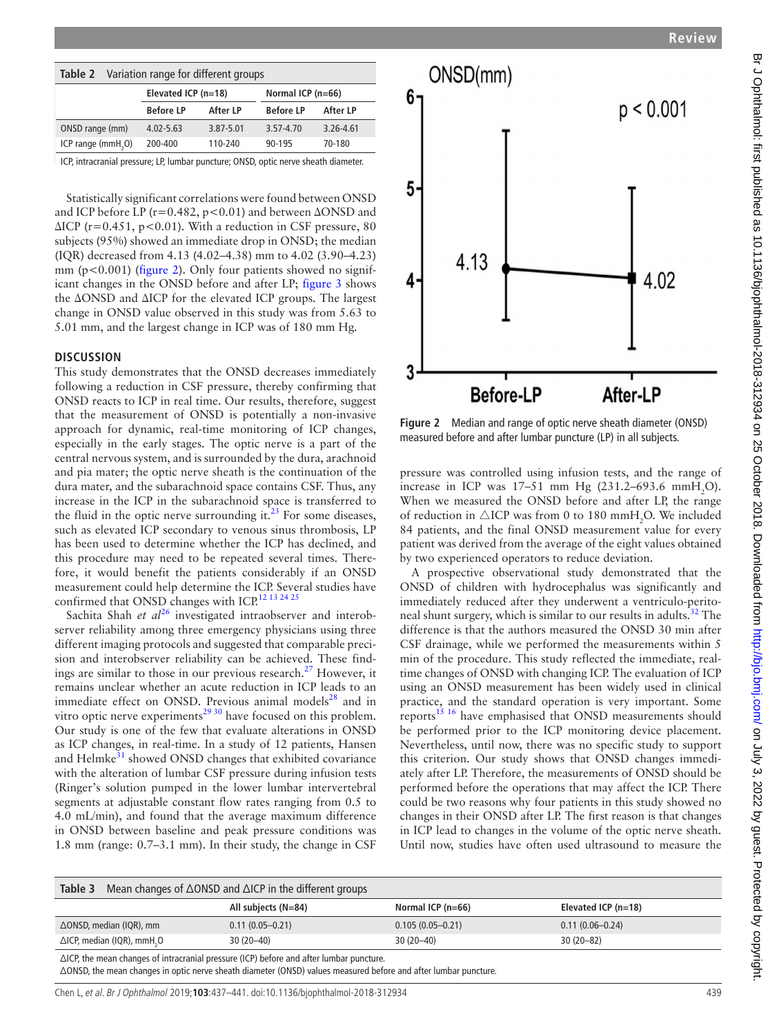<span id="page-2-0"></span>

| Variation range for different groups<br>Table 2 |                       |           |                     |           |  |  |
|-------------------------------------------------|-----------------------|-----------|---------------------|-----------|--|--|
|                                                 | Elevated ICP $(n=18)$ |           | Normal ICP $(n=66)$ |           |  |  |
|                                                 | <b>Before LP</b>      | After LP  | <b>Before LP</b>    | After LP  |  |  |
| ONSD range (mm)                                 | $4.02 - 5.63$         | 3.87-5.01 | 3.57-4.70           | 3.26-4.61 |  |  |
| ICP range (mmH <sub>2</sub> O)                  | 200-400               | 110-240   | 90-195              | 70-180    |  |  |

ICP, intracranial pressure; LP, lumbar puncture; ONSD, optic nerve sheath diameter.

Statistically significant correlations were found between ONSD and ICP before LP (r=0.482, p<0.01) and between ΔONSD and  $\Delta$ ICP (r=0.451, p<0.01). With a reduction in CSF pressure, 80 subjects (95%) showed an immediate drop in ONSD; the median (IQR) decreased from 4.13 (4.02–4.38) mm to 4.02 (3.90–4.23) mm (p<0.001) ([figure](#page-2-2) 2). Only four patients showed no significant changes in the ONSD before and after LP; [figure](#page-3-11) 3 shows the ΔONSD and ΔICP for the elevated ICP groups. The largest change in ONSD value observed in this study was from 5.63 to 5.01 mm, and the largest change in ICP was of 180 mm Hg.

## **Discussion**

This study demonstrates that the ONSD decreases immediately following a reduction in CSF pressure, thereby confirming that ONSD reacts to ICP in real time. Our results, therefore, suggest that the measurement of ONSD is potentially a non-invasive approach for dynamic, real-time monitoring of ICP changes, especially in the early stages. The optic nerve is a part of the central nervous system, and is surrounded by the dura, arachnoid and pia mater; the optic nerve sheath is the continuation of the dura mater, and the subarachnoid space contains CSF. Thus, any increase in the ICP in the subarachnoid space is transferred to the fluid in the optic nerve surrounding it. $^{23}$  $^{23}$  $^{23}$  For some diseases, such as elevated ICP secondary to venous sinus thrombosis, LP has been used to determine whether the ICP has declined, and this procedure may need to be repeated several times. Therefore, it would benefit the patients considerably if an ONSD measurement could help determine the ICP. Several studies have confirmed that ONSD changes with ICP.<sup>12 13 24 25</sup>

Sachita Shah *et al*<sup>[26](#page-4-3)</sup> investigated intraobserver and interobserver reliability among three emergency physicians using three different imaging protocols and suggested that comparable precision and interobserver reliability can be achieved. These find-ings are similar to those in our previous research.<sup>[27](#page-4-4)</sup> However, it remains unclear whether an acute reduction in ICP leads to an immediate effect on ONSD. Previous animal models<sup>28</sup> and in vitro optic nerve experiments<sup>[29 30](#page-4-6)</sup> have focused on this problem. Our study is one of the few that evaluate alterations in ONSD as ICP changes, in real-time. In a study of 12 patients, Hansen and Helmke<sup>31</sup> showed ONSD changes that exhibited covariance with the alteration of lumbar CSF pressure during infusion tests (Ringer's solution pumped in the lower lumbar intervertebral segments at adjustable constant flow rates ranging from 0.5 to 4.0 mL/min), and found that the average maximum difference in ONSD between baseline and peak pressure conditions was 1.8 mm (range: 0.7–3.1 mm). In their study, the change in CSF



<span id="page-2-2"></span>**Figure 2** Median and range of optic nerve sheath diameter (ONSD) measured before and after lumbar puncture (LP) in all subjects.

pressure was controlled using infusion tests, and the range of increase in ICP was  $17-51$  mm Hg  $(231.2-693.6 \text{ mmH}_2\text{O}).$ When we measured the ONSD before and after LP, the range of reduction in  $\triangle$ ICP was from 0 to 180 mmH<sub>2</sub>O. We included 84 patients, and the final ONSD measurement value for every patient was derived from the average of the eight values obtained by two experienced operators to reduce deviation.

A prospective observational study demonstrated that the ONSD of children with hydrocephalus was significantly and immediately reduced after they underwent a ventriculo-peritoneal shunt surgery, which is similar to our results in adults.<sup>32</sup> The difference is that the authors measured the ONSD 30 min after CSF drainage, while we performed the measurements within 5 min of the procedure. This study reflected the immediate, realtime changes of ONSD with changing ICP. The evaluation of ICP using an ONSD measurement has been widely used in clinical practice, and the standard operation is very important. Some reports<sup>15 16</sup> have emphasised that ONSD measurements should be performed prior to the ICP monitoring device placement. Nevertheless, until now, there was no specific study to support this criterion. Our study shows that ONSD changes immediately after LP. Therefore, the measurements of ONSD should be performed before the operations that may affect the ICP. There could be two reasons why four patients in this study showed no changes in their ONSD after LP. The first reason is that changes in ICP lead to changes in the volume of the optic nerve sheath. Until now, studies have often used ultrasound to measure the

<span id="page-2-1"></span>

| Mean changes of $\triangle$ ONSD and $\triangle$ ICP in the different groups<br>Table 3            |                       |                       |                       |  |  |  |
|----------------------------------------------------------------------------------------------------|-----------------------|-----------------------|-----------------------|--|--|--|
|                                                                                                    | All subjects $(N=84)$ | Normal ICP ( $n=66$ ) | Elevated ICP $(n=18)$ |  |  |  |
| $\Delta$ ONSD, median (IQR), mm                                                                    | $0.11(0.05 - 0.21)$   | $0.105(0.05 - 0.21)$  | $0.11(0.06 - 0.24)$   |  |  |  |
| $\triangle$ ICP, median (IQR), mmH <sub>2</sub> O                                                  | $30(20-40)$           | $30(20-40)$           | $30(20-82)$           |  |  |  |
| $\triangle$ ICP, the mean changes of intracranial pressure (ICP) before and after lumbar puncture. |                       |                       |                       |  |  |  |

ΔONSD, the mean changes in optic nerve sheath diameter (ONSD) values measured before and after lumbar puncture.

Chen L, et al. Br J Ophthalmol 2019;**103**:437–441. doi:10.1136/bjophthalmol-2018-312934 439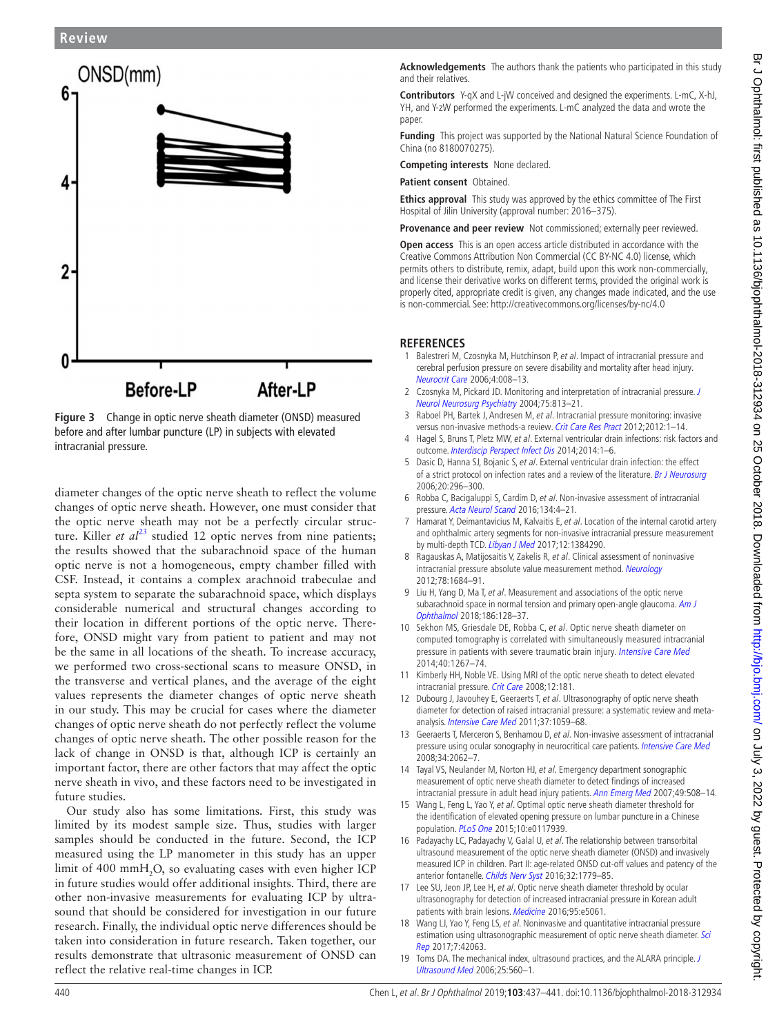## **Review**



<span id="page-3-11"></span>**Figure 3** Change in optic nerve sheath diameter (ONSD) measured before and after lumbar puncture (LP) in subjects with elevated intracranial pressure.

diameter changes of the optic nerve sheath to reflect the volume changes of optic nerve sheath. However, one must consider that the optic nerve sheath may not be a perfectly circular structure. Killer *et al*<sup>23</sup> studied 12 optic nerves from nine patients; the results showed that the subarachnoid space of the human optic nerve is not a homogeneous, empty chamber filled with CSF. Instead, it contains a complex arachnoid trabeculae and septa system to separate the subarachnoid space, which displays considerable numerical and structural changes according to their location in different portions of the optic nerve. Therefore, ONSD might vary from patient to patient and may not be the same in all locations of the sheath. To increase accuracy, we performed two cross-sectional scans to measure ONSD, in the transverse and vertical planes, and the average of the eight values represents the diameter changes of optic nerve sheath in our study. This may be crucial for cases where the diameter changes of optic nerve sheath do not perfectly reflect the volume changes of optic nerve sheath. The other possible reason for the lack of change in ONSD is that, although ICP is certainly an important factor, there are other factors that may affect the optic nerve sheath in vivo, and these factors need to be investigated in future studies.

Our study also has some limitations. First, this study was limited by its modest sample size. Thus, studies with larger samples should be conducted in the future. Second, the ICP measured using the LP manometer in this study has an upper limit of 400  $mmH_2O$ , so evaluating cases with even higher ICP in future studies would offer additional insights. Third, there are other non-invasive measurements for evaluating ICP by ultrasound that should be considered for investigation in our future research. Finally, the individual optic nerve differences should be taken into consideration in future research. Taken together, our results demonstrate that ultrasonic measurement of ONSD can reflect the relative real-time changes in ICP.

**Acknowledgements** The authors thank the patients who participated in this study and their relatives.

**Contributors** Y-qX and L-jW conceived and designed the experiments. L-mC, X-hJ, YH, and Y-zW performed the experiments. L-mC analyzed the data and wrote the paper.

**Funding** This project was supported by the National Natural Science Foundation of China (no 8180070275).

**Competing interests** None declared.

**Patient consent** Obtained.

**Ethics approval** This study was approved by the ethics committee of The First Hospital of Jilin University (approval number: 2016–375).

**Provenance and peer review** Not commissioned; externally peer reviewed.

**Open access** This is an open access article distributed in accordance with the Creative Commons Attribution Non Commercial (CC BY-NC 4.0) license, which permits others to distribute, remix, adapt, build upon this work non-commercially, and license their derivative works on different terms, provided the original work is properly cited, appropriate credit is given, any changes made indicated, and the use is non-commercial. See:<http://creativecommons.org/licenses/by-nc/4.0>

## **ReferenceS**

- <span id="page-3-0"></span>1 Balestreri M, Czosnyka M, Hutchinson P, et al. Impact of intracranial pressure and cerebral perfusion pressure on severe disability and mortality after head injury. [Neurocrit Care](http://dx.doi.org/10.1385/NCC:4:1:008) 2006;4:008–13.
- 2 Czosnyka M, Pickard JD. Monitoring and interpretation of intracranial pressure. J [Neurol Neurosurg Psychiatry](http://dx.doi.org/10.1136/jnnp.2003.033126) 2004;75:813–21.
- <span id="page-3-1"></span>3 Raboel PH, Bartek J, Andresen M, et al. Intracranial pressure monitoring: invasive versus non-invasive methods-a review. [Crit Care Res Pract](http://dx.doi.org/10.1155/2012/950393) 2012;2012:1-14.
- <span id="page-3-2"></span>4 Hagel S, Bruns T, Pletz MW, et al. External ventricular drain infections: risk factors and outcome. [Interdiscip Perspect Infect Dis](http://dx.doi.org/10.1155/2014/708531) 2014;2014:1–6.
- 5 Dasic D, Hanna SJ, Bojanic S, et al. External ventricular drain infection: the effect of a strict protocol on infection rates and a review of the literature. [Br J Neurosurg](http://dx.doi.org/10.1080/02688690600999901) 2006;20:296–300.
- <span id="page-3-3"></span>6 Robba C, Bacigaluppi S, Cardim D, et al. Non-invasive assessment of intracranial pressure. [Acta Neurol Scand](http://dx.doi.org/10.1111/ane.12527) 2016;134:4–21.
- 7 Hamarat Y, Deimantavicius M, Kalvaitis E, et al. Location of the internal carotid artery and ophthalmic artery segments for non-invasive intracranial pressure measurement by multi-depth TCD. *[Libyan J Med](http://dx.doi.org/10.1080/19932820.2017.1384290)* 2017:12:1384290.
- <span id="page-3-4"></span>8 Ragauskas A, Matijosaitis V, Zakelis R, et al. Clinical assessment of noninvasive intracranial pressure absolute value measurement method. [Neurology](http://dx.doi.org/10.1212/WNL.0b013e3182574f50) 2012;78:1684–91.
- <span id="page-3-5"></span>9 Liu H, Yang D, Ma T, et al. Measurement and associations of the optic nerve subarachnoid space in normal tension and primary open-angle glaucoma. Am J [Ophthalmol](http://dx.doi.org/10.1016/j.ajo.2017.11.024) 2018;186:128–37.
- <span id="page-3-6"></span>10 Sekhon MS, Griesdale DE, Robba C, et al. Optic nerve sheath diameter on computed tomography is correlated with simultaneously measured intracranial pressure in patients with severe traumatic brain injury. [Intensive Care Med](http://dx.doi.org/10.1007/s00134-014-3392-7) 2014;40:1267–74.
- 11 Kimberly HH, Noble VE. Using MRI of the optic nerve sheath to detect elevated intracranial pressure. [Crit Care](http://dx.doi.org/10.1186/cc7008) 2008;12:181.
- <span id="page-3-12"></span>12 Dubourg J, Javouhey E, Geeraerts T, et al. Ultrasonography of optic nerve sheath diameter for detection of raised intracranial pressure: a systematic review and metaanalysis. [Intensive Care Med](http://dx.doi.org/10.1007/s00134-011-2224-2) 2011;37:1059–68.
- <span id="page-3-7"></span>13 Geeraerts T, Merceron S, Benhamou D, et al. Non-invasive assessment of intracranial pressure using ocular sonography in neurocritical care patients. [Intensive Care Med](http://dx.doi.org/10.1007/s00134-008-1149-x) 2008;34:2062–7.
- 14 Tayal VS, Neulander M, Norton HJ, et al. Emergency department sonographic measurement of optic nerve sheath diameter to detect findings of increased intracranial pressure in adult head injury patients. [Ann Emerg Med](http://dx.doi.org/10.1016/j.annemergmed.2006.06.040) 2007;49:508–14.
- <span id="page-3-8"></span>15 Wang L, Feng L, Yao Y, et al. Optimal optic nerve sheath diameter threshold for the identification of elevated opening pressure on lumbar puncture in a Chinese population. [PLoS One](http://dx.doi.org/10.1371/journal.pone.0117939) 2015;10:e0117939.
- 16 Padayachy LC, Padayachy V, Galal U, et al. The relationship between transorbital ultrasound measurement of the optic nerve sheath diameter (ONSD) and invasively measured ICP in children. Part II: age-related ONSD cut-off values and patency of the anterior fontanelle. [Childs Nerv Syst](http://dx.doi.org/10.1007/s00381-016-3068-4) 2016;32:1779-85.
- 17 Lee SU, Jeon JP, Lee H, et al. Optic nerve sheath diameter threshold by ocular ultrasonography for detection of increased intracranial pressure in Korean adult patients with brain lesions. [Medicine](http://dx.doi.org/10.1097/MD.0000000000005061) 2016;95:e5061.
- <span id="page-3-9"></span>18 Wang LJ, Yao Y, Feng LS, et al. Noninvasive and quantitative intracranial pressure estimation using ultrasonographic measurement of optic nerve sheath diameter. Sci [Rep](http://dx.doi.org/10.1038/srep42063) 2017;7:42063.
- <span id="page-3-10"></span>19 Toms DA. The mechanical index, ultrasound practices, and the ALARA principle. J [Ultrasound Med](http://www.ncbi.nlm.nih.gov/pubmed/16567451) 2006;25:560–1.